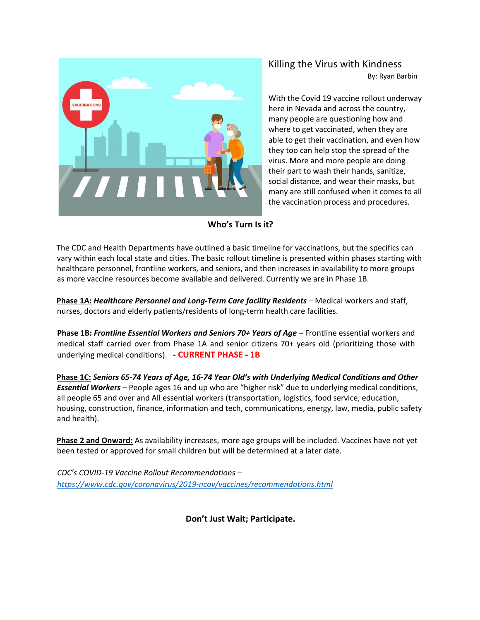

Killing the Virus with Kindness

By: Ryan Barbin

With the Covid 19 vaccine rollout underway here in Nevada and across the country, many people are questioning how and where to get vaccinated, when they are able to get their vaccination, and even how they too can help stop the spread of the virus. More and more people are doing their part to wash their hands, sanitize, social distance, and wear their masks, but many are still confused when it comes to all the vaccination process and procedures.

## **Who's Turn Is it?**

The CDC and Health Departments have outlined a basic timeline for vaccinations, but the specifics can vary within each local state and cities. The basic rollout timeline is presented within phases starting with healthcare personnel, frontline workers, and seniors, and then increases in availability to more groups as more vaccine resources become available and delivered. Currently we are in Phase 1B.

**Phase 1A:** *Healthcare Personnel and Long-Term Care facility Residents* – Medical workers and staff, nurses, doctors and elderly patients/residents of long-term health care facilities.

**Phase 1B:** *Frontline Essential Workers and Seniors 70+ Years of Age* – Frontline essential workers and medical staff carried over from Phase 1A and senior citizens 70+ years old (prioritizing those with underlying medical conditions). **- CURRENT PHASE - 1B**

**Phase 1C:** *Seniors 65-74 Years of Age, 16-74 Year Old's with Underlying Medical Conditions and Other Essential Workers* – People ages 16 and up who are "higher risk" due to underlying medical conditions, all people 65 and over and All essential workers (transportation, logistics, food service, education, housing, construction, finance, information and tech, communications, energy, law, media, public safety and health).

**Phase 2 and Onward:** As availability increases, more age groups will be included. Vaccines have not yet been tested or approved for small children but will be determined at a later date.

*CDC's COVID-19 Vaccine Rollout Recommendations – https://www.cdc.gov/coronavirus/2019-ncov/vaccines/recommendations.html*

**Don't Just Wait; Participate.**